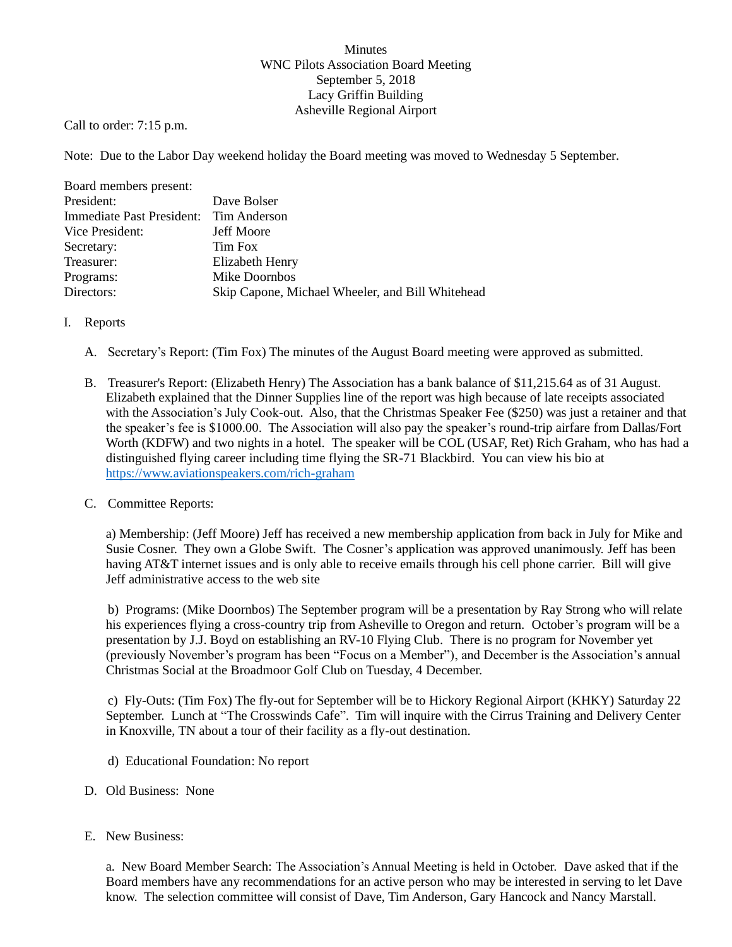## Minutes WNC Pilots Association Board Meeting September 5, 2018 Lacy Griffin Building Asheville Regional Airport

Call to order: 7:15 p.m.

Note: Due to the Labor Day weekend holiday the Board meeting was moved to Wednesday 5 September.

| Board members present:                 |                                                  |
|----------------------------------------|--------------------------------------------------|
| President:                             | Dave Bolser                                      |
| Immediate Past President: Tim Anderson |                                                  |
| Vice President:                        | <b>Jeff Moore</b>                                |
| Secretary:                             | Tim Fox                                          |
| Treasurer:                             | Elizabeth Henry                                  |
| Programs:                              | Mike Doornbos                                    |
| Directors:                             | Skip Capone, Michael Wheeler, and Bill Whitehead |

## I. Reports

- A. Secretary's Report: (Tim Fox) The minutes of the August Board meeting were approved as submitted.
- B. Treasurer's Report: (Elizabeth Henry) The Association has a bank balance of \$11,215.64 as of 31 August. Elizabeth explained that the Dinner Supplies line of the report was high because of late receipts associated with the Association's July Cook-out. Also, that the Christmas Speaker Fee (\$250) was just a retainer and that the speaker's fee is \$1000.00. The Association will also pay the speaker's round-trip airfare from Dallas/Fort Worth (KDFW) and two nights in a hotel. The speaker will be COL (USAF, Ret) Rich Graham, who has had a distinguished flying career including time flying the SR-71 Blackbird. You can view his bio at <https://www.aviationspeakers.com/rich-graham>
- C. Committee Reports:

a) Membership: (Jeff Moore) Jeff has received a new membership application from back in July for Mike and Susie Cosner. They own a Globe Swift. The Cosner's application was approved unanimously. Jeff has been having AT&T internet issues and is only able to receive emails through his cell phone carrier. Bill will give Jeff administrative access to the web site

b) Programs: (Mike Doornbos) The September program will be a presentation by Ray Strong who will relate his experiences flying a cross-country trip from Asheville to Oregon and return. October's program will be a presentation by J.J. Boyd on establishing an RV-10 Flying Club. There is no program for November yet (previously November's program has been "Focus on a Member"), and December is the Association's annual Christmas Social at the Broadmoor Golf Club on Tuesday, 4 December.

c) Fly-Outs: (Tim Fox) The fly-out for September will be to Hickory Regional Airport (KHKY) Saturday 22 September. Lunch at "The Crosswinds Cafe". Tim will inquire with the Cirrus Training and Delivery Center in Knoxville, TN about a tour of their facility as a fly-out destination.

- d) Educational Foundation: No report
- D. Old Business: None
- E. New Business:

a. New Board Member Search: The Association's Annual Meeting is held in October. Dave asked that if the Board members have any recommendations for an active person who may be interested in serving to let Dave know. The selection committee will consist of Dave, Tim Anderson, Gary Hancock and Nancy Marstall.